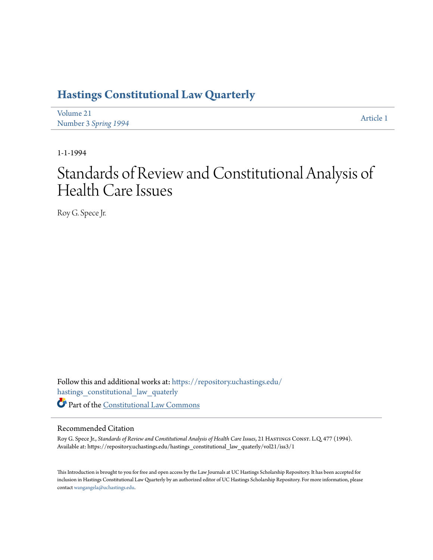## **[Hastings Constitutional Law Quarterly](https://repository.uchastings.edu/hastings_constitutional_law_quaterly?utm_source=repository.uchastings.edu%2Fhastings_constitutional_law_quaterly%2Fvol21%2Fiss3%2F1&utm_medium=PDF&utm_campaign=PDFCoverPages)**

| Volume 21            | Article 1 |
|----------------------|-----------|
| Number 3 Spring 1994 |           |

1-1-1994

# Standards of Review and Constitutional Analysis of Health Care Issues

Roy G. Spece Jr.

Follow this and additional works at: [https://repository.uchastings.edu/](https://repository.uchastings.edu/hastings_constitutional_law_quaterly?utm_source=repository.uchastings.edu%2Fhastings_constitutional_law_quaterly%2Fvol21%2Fiss3%2F1&utm_medium=PDF&utm_campaign=PDFCoverPages) [hastings\\_constitutional\\_law\\_quaterly](https://repository.uchastings.edu/hastings_constitutional_law_quaterly?utm_source=repository.uchastings.edu%2Fhastings_constitutional_law_quaterly%2Fvol21%2Fiss3%2F1&utm_medium=PDF&utm_campaign=PDFCoverPages) Part of the [Constitutional Law Commons](http://network.bepress.com/hgg/discipline/589?utm_source=repository.uchastings.edu%2Fhastings_constitutional_law_quaterly%2Fvol21%2Fiss3%2F1&utm_medium=PDF&utm_campaign=PDFCoverPages)

#### Recommended Citation

Roy G. Spece Jr., *Standards of Review and Constitutional Analysis of Health Care Issues*, 21 Hastings Const. L.Q. 477 (1994). Available at: https://repository.uchastings.edu/hastings\_constitutional\_law\_quaterly/vol21/iss3/1

This Introduction is brought to you for free and open access by the Law Journals at UC Hastings Scholarship Repository. It has been accepted for inclusion in Hastings Constitutional Law Quarterly by an authorized editor of UC Hastings Scholarship Repository. For more information, please contact [wangangela@uchastings.edu](mailto:wangangela@uchastings.edu).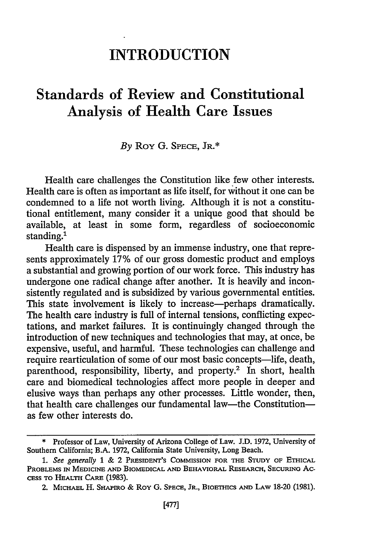### **INTRODUCTION**

### Standards of Review and Constitutional Analysis of Health Care Issues

#### *By* Roy G. SPECE, JR.\*

Health care challenges the Constitution like few other interests. Health care is often as important as life itself, for without it one can be condemned to a life not worth living. Although it is not a constitutional entitlement, many consider it a unique good that should be available, at least in some form, regardless of socioeconomic standing.<sup>1</sup>

Health care is dispensed by an immense industry, one that represents approximately 17% of our gross domestic product and employs a substantial and growing portion of our work force. This industry has undergone one radical change after another. It is heavily and inconsistently regulated and is subsidized by various governmental entities. This state involvement is likely to increase—perhaps dramatically. The health care industry is full of internal tensions, conflicting expectations, and market failures. It is continuingly changed through the introduction of new techniques and technologies that may, at once, be expensive, useful, and harmful. These technologies can challenge and require rearticulation of some of our most basic concepts-life, death, parenthood, responsibility, liberty, and property.2 In short, health care and biomedical technologies affect more people in deeper and elusive ways than perhaps any other processes. Little wonder, then, that health care challenges our fundamental law—the Constitution as few other interests do.

<sup>\*</sup> Professor of Law, University of Arizona College of Law. **J.D.** 1972, University of Southern California; B.A. 1972, California State University, Long Beach.

*<sup>1.</sup> See generally* 1 & 2 **PRESIDENT'S COMMISSION** FOR THE **STUDy** OF ETHICAL **PROBLEMS IN MEDICINE AND BIOMEDICAL AND BEHAVIORAL RESEARCH, SECURING AC-CESS TO HEALTH CARE** (1983).

<sup>2.</sup> **MICHAEL** H. **SHAPIRO &** Roy **G. SPECE,** JR., **BIoETHICS AND LAW** 18-20 (1981).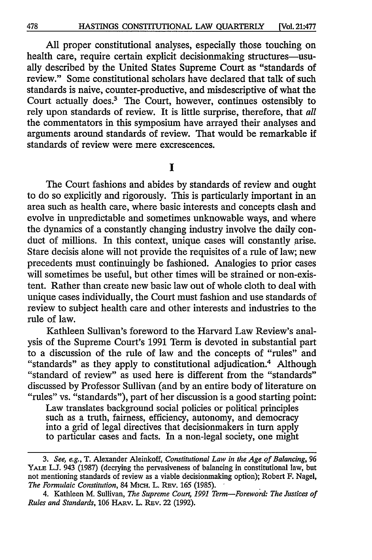All proper constitutional analyses, especially those touching on health care, require certain explicit decisionmaking structures-usually described by the United States Supreme Court as "standards of review." Some constitutional scholars have declared that talk of such standards is naive, counter-productive, and misdescriptive of what the Court actually does.3 The Court, however, continues ostensibly to rely upon standards of review. It is little surprise, therefore, that *all* the commentators in this symposium have arrayed their analyses and arguments around standards of review. That would be remarkable if standards of review were mere excrescences.

**I**

The Court fashions and abides by standards of review and ought to do so explicitly and rigorously. This is particularly important in an area such as health care, where basic interests and concepts clash and evolve in unpredictable and sometimes unknowable ways, and where the dynamics of a constantly changing industry involve the daily conduct of millions. In this context, unique cases will constantly arise. Stare decisis alone will not provide the requisites of a rule of law; new precedents must continuingly be fashioned. Analogies to prior cases will sometimes be useful, but other times will be strained or non-existent. Rather than create new basic law out of whole cloth to deal with unique cases individually, the Court must fashion and use standards of review to subject health care and other interests and industries to the rule of law.

Kathleen Sullivan's foreword to the Harvard Law Review's analysis of the Supreme Court's 1991 Term is devoted in substantial part to a discussion of the rule of law and the concepts of "rules" and "standards" as they apply to constitutional adjudication.4 Although "standard of review" as used here is different from the "standards" discussed by Professor Sullivan (and by an entire body of literature on "rules" vs. "standards"), part of her discussion is a good starting point:

Law translates background social policies or political principles such as a truth, fairness, efficiency, autonomy, and democracy into a grid of legal directives that decisionmakers in turn apply to particular cases and facts. In a non-legal society, one might

*<sup>3.</sup> See, e.g.,* T. Alexander Aleinkoff, *Constitutional Law in the Age of Balancing, 96* YALE **L.J.** 943 (1987) (decrying the pervasiveness of balancing in constitutional law, but not mentioning standards of review as a viable decisionmaking option); Robert F. Nagel, *The Formulaic Constitution,* 84 MicH. L. REv. 165 (1985).

<sup>4.</sup> Kathleen M. Sullivan, *The Supreme Court, 1991 Term-Foreword: The Justices of Rules and Standards,* 106 HARv. L. REv. 22 (1992).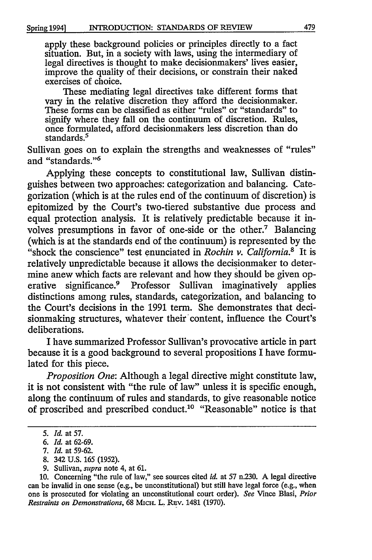apply these background policies or principles directly to a fact situation. But, in a society with laws, using the intermediary of legal directives is thought to make decisionmakers' lives easier, improve the quality of their decisions, or constrain their naked exercises of choice.

These mediating legal directives take different forms that vary in the relative discretion they afford the decisionmaker. These forms can be classified as either "rules" or "standards" to signify where they fall on the continuum of discretion. Rules, once formulated, afford decisionmakers less discretion than do standards.<sup>5</sup>

Sullivan goes on to explain the strengths and weaknesses of "rules" and "standards."6

Applying these concepts to constitutional law, Sullivan distinguishes between two approaches: categorization and balancing. Categorization (which is at the rules end of the continuum of discretion) is epitomized **by** the Court's two-tiered substantive due process and equal protection analysis. It is relatively predictable because it involves presumptions in favor of one-side or the other.7 Balancing (which is at the standards end of the continuum) is represented **by** the "shock the conscience" test enunciated in *Rochin v. California.8* It is relatively unpredictable because it allows the decisionmaker to determine anew which facts are relevant and how they should be given operative significance.9 Professor Sullivan imaginatively applies distinctions among rules, standards, categorization, and balancing to the Court's decisions in the **1991** term. She demonstrates that decisionmaking structures, whatever their content, influence the Court's deliberations.

I have summarized Professor Sullivan's provocative article in part because it is a good background to several propositions I have formulated for this piece.

*Proposition One:* Although a legal directive might constitute law, it is not consistent with "the rule of law" unless it is specific enough, along the continuum of rules and standards, to give reasonable notice of proscribed and prescribed conduct.<sup>10</sup> "Reasonable" notice is that

- **8.** 342 **U.S.** *165* **(1952).**
- **9.** Sullivan, *supra* note 4, at **61.**

*<sup>5.</sup> Id.* at **57.**

*<sup>6.</sup> Id.* at **62-69.**

*<sup>7.</sup> Id.* at **59-62.**

**<sup>10.</sup>** Concerning "the rule of law," see sources cited *id.* at **57** n.230. **A** legal directive can be invalid in one sense (e.g., be unconstitutional) but still have legal force (e.g., when one is prosecuted for violating an unconstitutional court order). *See* Vince Blasi, *Prior Restraints on Demonstrations,* **68** MicH. L. REv. 1481 **(1970).**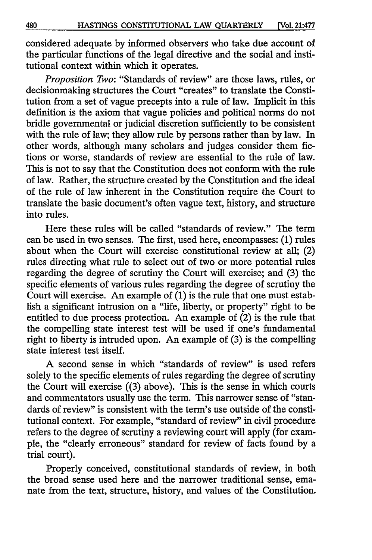considered adequate by informed observers who take due account of the particular functions of the legal directive and the social and institutional context within which it operates.

*Proposition Two:* "Standards of review" are those laws, rules, or decisionmaking structures the Court "creates" to translate the Constitution from a set of vague precepts into a rule of law. Implicit in this definition is the axiom that vague policies and political norms do not bridle governmental or judicial discretion sufficiently to be consistent with the rule of law; they allow rule by persons rather than by law. In other words, although many scholars and judges consider them fictions or worse, standards of review are essential to the rule of law. This is not to say that the Constitution does not conform with the rule of law. Rather, the structure created by the Constitution and the ideal of the rule of law inherent in the Constitution require the Court to translate the basic document's often vague text, history, and structure into rules.

Here these rules will be called "standards of review." The term can be used in two senses. The first, used here, encompasses: (1) rules about when the Court will exercise constitutional review at all; (2) rules directing what rule to select out of two or more potential rules regarding the degree of scrutiny the Court will exercise; and (3) the specific elements of various rules regarding the degree of scrutiny the Court will exercise. An example of  $(1)$  is the rule that one must establish a significant intrusion on a "life, liberty, or property" right to be entitled to due process protection. An example of (2) is the rule that the compelling state interest test will be used if one's fundamental right to liberty is intruded upon. An example of (3) is the compelling state interest test itself.

A second sense in which "standards of review" is used refers solely to the specific elements of rules regarding the degree of scrutiny the Court will exercise ((3) above). This is the sense in which courts and commentators usually use the term. This narrower sense of "standards of review" is consistent with the term's use outside of the constitutional context. For example, "standard of review" in civil procedure refers to the degree of scrutiny a reviewing court will apply (for example, the "clearly erroneous" standard for review of facts found by a trial court).

Properly conceived, constitutional standards of review, in both the broad sense used here and the narrower traditional sense, emanate from the text, structure, history, and values of the Constitution.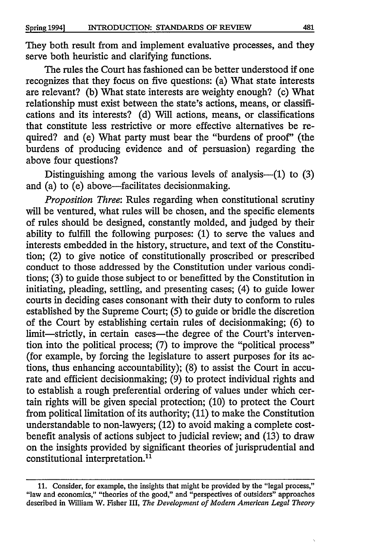They both result from and implement evaluative processes, and they serve both heuristic and clarifying functions.

The rules the Court has fashioned can be better understood if one recognizes that they focus on five questions: (a) What state interests are relevant? (b) What state interests are weighty enough? (c) What relationship must exist between the state's actions, means, or classifications and its interests? (d) Will actions, means, or classifications that constitute less restrictive or more effective alternatives be required? and (e) What party must bear the "burdens of proof' (the burdens of producing evidence and of persuasion) regarding the above four questions?

Distinguishing among the various levels of analysis-- $(1)$  to  $(3)$ and (a) to  $(e)$  above—facilitates decisionmaking.

*Proposition Three:* Rules regarding when constitutional scrutiny will be ventured, what rules will be chosen, and the specific elements of rules should be designed, constantly molded, and judged by their ability to fulfill the following purposes: (1) to serve the values and interests embedded in the history, structure, and text of the Constitution; (2) to give notice of constitutionally proscribed or prescribed conduct to those addressed by the Constitution under various conditions; (3) to guide those subject to or benefitted by the Constitution in initiating, pleading, settling, and presenting cases; (4) to guide lower courts in deciding cases consonant with their duty to conform to rules established by the Supreme Court; (5) to guide or bridle the discretion of the Court by establishing certain rules of decisionmaking; (6) to limit-strictly, in certain cases-the degree of the Court's intervention into the political process; (7) to improve the "political process" (for example, by forcing the legislature to assert purposes for its actions, thus enhancing accountability); (8) to assist the Court in accurate and efficient decisionmaking; (9) to protect individual rights and to establish a rough preferential ordering of values under which certain rights will be given special protection; (10) to protect the Court from political limitation of its authority; (11) to make the Constitution understandable to non-lawyers; (12) to avoid making a complete costbenefit analysis of actions subject to judicial review; and  $(13)$  to draw on the insights provided by significant theories of jurisprudential and constitutional interpretation.<sup>11</sup>

<sup>11.</sup> Consider, for example, the insights that might be provided by the "legal process," "law and economics," "theories of the good," and "perspectives of outsiders" approaches described in William W. Fisher III, *The Development of Modem American Legal Theory*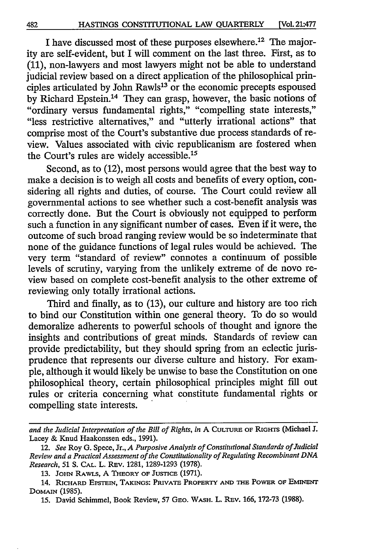I have discussed most of these purposes elsewhere.<sup>12</sup> The majority are self-evident, but I will comment on the last three. First, as to (11), non-lawyers and most lawyers might not be able to understand judicial review based on a direct application of the philosophical principles articulated by John  $Rawls<sup>13</sup>$  or the economic precepts espoused by Richard Epstein.<sup>14</sup> They can grasp, however, the basic notions of "ordinary versus fundamental rights," "compelling state interests," "less restrictive alternatives," and "utterly irrational actions" that comprise most of the Court's substantive due process standards of review. Values associated with civic republicanism are fostered when the Court's rules are widely accessible.<sup>15</sup>

Second, as to (12), most persons would agree that the best way to make a decision is to weigh all costs and benefits of every option, considering all rights and duties, of course. The Court could review all governmental actions to see whether such a cost-benefit analysis was correctly done. But the Court is obviously not equipped to perform such a function in any significant number of cases. Even if it were, the outcome of such broad ranging review would be so indeterminate that none of the guidance functions of legal rules would be achieved. The very term "standard of review" connotes a continuum of possible levels of scrutiny, varying from the unlikely extreme of de novo review based on complete cost-benefit analysis to the other extreme of reviewing only totally irrational actions.

Third and finally, as to (13), our culture and history are too rich to bind our Constitution within one general theory. To do so would demoralize adherents to powerful schools of thought and ignore the insights and contributions of great minds. Standards of review can provide predictability, but they should spring from an eclectic jurisprudence that represents our diverse culture and history. For example, although it would likely be unwise to base the Constitution on one philosophical theory, certain philosophical principles might fill out rules or criteria concerning what constitute fundamental rights or compelling state interests.

*and the Judicial Interpretation of the Bill of Rights, in* A CULTURE **OF** RIGH's (Michael J. Lacey & Knud Haakonssen eds., 1991).

<sup>12.</sup> *See* Roy G. Spece, Jr., *A Purposive Analysis of Constitutional Standards of Judicial Review and a Practical Assessment of the Constitutionality of Regulating Recombinant DNA Research, 51* **S. CAL.** L. REV. 1281, 1289-1293 (1978).

<sup>13.</sup> JOHN RAWLS, A THEORY OF **JusncE** (1971).

<sup>14.</sup> **RICHARD EPSTEIN, TAKINGS: PRIVATE** PROPERTY **AND THE** POWER **OF EMINENT DOMAIN** (1985).

<sup>15.</sup> David Schimmel, Book Review, 57 **GEO.** WASH. L. **REv.** 166, 172-73 (1988).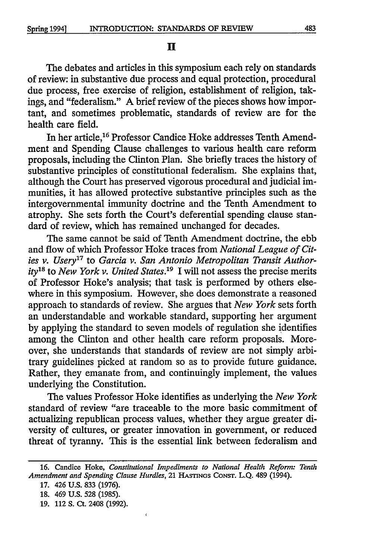$\mathbf H$ 

The debates and articles in this symposium each rely on standards of review: in substantive due process and equal protection, procedural due process, free exercise of religion, establishment of religion, takings, and "federalism." A brief review of the pieces shows how important, and sometimes problematic, standards of review are for the health care field.

In her article,<sup>16</sup> Professor Candice Hoke addresses Tenth Amendment and Spending Clause challenges to various health care reform proposals, including the Clinton Plan. She briefly traces the history of substantive principles of constitutional federalism. She explains that, although the Court has preserved vigorous procedural and judicial immunities, it has allowed protective substantive principles such as the intergovernmental immunity doctrine and the Tenth Amendment to atrophy. She sets forth the Court's deferential spending clause standard of review, which has remained unchanged for decades.

The same cannot be said of Tenth Amendment doctrine, the ebb and flow of which Professor Hoke traces from *National League of Cities v. Usery'7* to *Garcia v. San Antonio Metropolitan Transit Authority <sup>8</sup>*to *New York v. United States.'9* I will not assess the precise merits of Professor Hoke's analysis; that task is performed by others elsewhere in this symposium. However, she does demonstrate a reasoned approach to standards of review. She argues that *New York* sets forth an understandable and workable standard, supporting her argument by applying the standard to seven models of regulation she identifies among the Clinton and other health care reform proposals. Moreover, she understands that standards of review are not simply arbitrary guidelines picked at random so as to provide future guidance. Rather, they emanate from, and continuingly implement, the values underlying the Constitution.

The values Professor Hoke identifies as underlying the *New York* standard of review "are traceable to the more basic commitment of actualizing republican process values, whether they argue greater diversity of cultures, or greater innovation in government, or reduced threat of tyranny. This is the essential link between federalism and

 $\overline{\mathbf{t}}$ 

**<sup>16.</sup>** Candice Hoke, *Constitutional Impediments to National Health Reform: Tenth Amendment and Spending Clause Hurdles,* 21 **HASTINGS** CONST. **L.Q.** 489 (1994).

**<sup>17.</sup>** 426 **U.S. 833 (1976).**

**<sup>18.</sup>** 469 **U.S.** 528 (1985).

**<sup>19.</sup>** 112 **S.** Ct. 2408 **(1992).**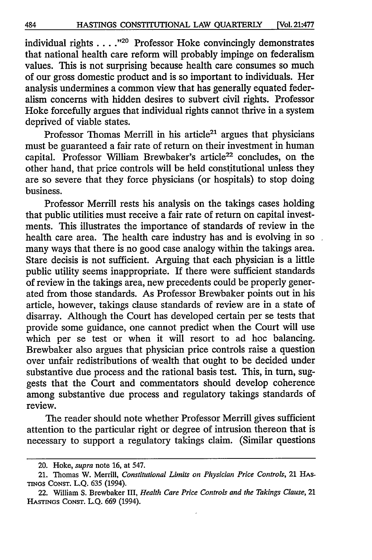individual rights . . . . <sup>20</sup> Professor Hoke convincingly demonstrates that national health care reform will probably impinge on federalism values. This is not surprising because health care consumes so much of our gross domestic product and is so important to individuals. Her analysis undermines a common view that has generally equated federalism concerns with hidden desires to subvert civil rights. Professor Hoke forcefully argues that individual rights cannot thrive in a system deprived of viable states.

Professor Thomas Merrill in his article<sup>21</sup> argues that physicians must be guaranteed a fair rate of return on their investment in human capital. Professor William Brewbaker's article<sup>22</sup> concludes, on the other hand, that price controls will be held constitutional unless they are so severe that they force physicians (or hospitals) to stop doing business.

Professor Merrill rests his analysis on the takings cases holding that public utilities must receive a fair rate of return on capital investments. This illustrates the importance of standards of review in the health care area. The health care industry has and is evolving in so many ways that there is no good case analogy within the takings area. Stare decisis is not sufficient. Arguing that each physician is a little public utility seems inappropriate. If there were sufficient standards of review in the takings area, new precedents could be properly generated from those standards. As Professor Brewbaker points out in his article, however, takings clause standards of review are in a state of disarray. Although the Court has developed certain per se tests that provide some guidance, one cannot predict when the Court will use which per se test or when it will resort to ad hoe balancing. Brewbaker also argues that physician price controls raise a question over unfair redistributions of wealth that ought to be decided under substantive due process and the rational basis test. This, in turn, suggests that the Court and commentators should develop coherence among substantive due process and regulatory takings standards of review.

The reader should note whether Professor Merrill gives sufficient attention to the particular right or degree of intrusion thereon that is necessary to support a regulatory takings claim. (Similar questions

<sup>20.</sup> Hoke, *supra* note 16, at 547.

<sup>21.</sup> Thomas W. Merrill, *Constitutional Limits on Physician Price Controls,* 21 HAs-TINGS CONST. L.Q. 635 (1994).

<sup>22.</sup> William S. Brewbaker III, *Health Care Price Controls and the Takings Clause,* 21 **HASTINGS** CONST. L.Q. 669 (1994).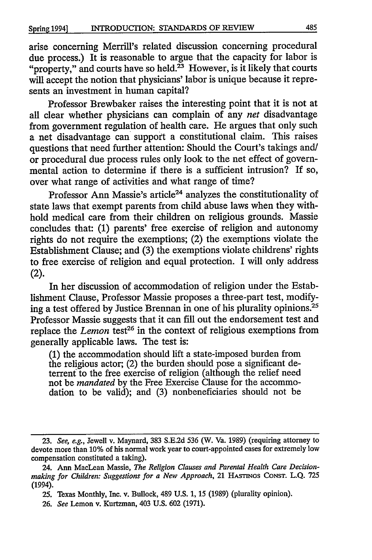arise concerning Merrill's related discussion concerning procedural due process.) It is reasonable to argue that the capacity for labor is "property," and courts have so held.<sup>23</sup> However, is it likely that courts will accept the notion that physicians' labor is unique because it represents an investment in human capital?

Professor Brewbaker raises the interesting point that it is not at all clear whether physicians can complain of any *net* disadvantage from government regulation of health care. He argues that only such a net disadvantage can support a constitutional claim. This raises questions that need further attention: Should the Court's takings and/ or procedural due process rules only look to the net effect of governmental action to determine if there is a sufficient intrusion? If so, over what range of activities and what range of time?

Professor Ann Massie's article<sup>24</sup> analyzes the constitutionality of state laws that exempt parents from child abuse laws when they withhold medical care from their children on religious grounds. Massie concludes that: (1) parents' free exercise of religion and autonomy rights do not require the exemptions; (2) the exemptions violate the Establishment Clause; and (3) the exemptions violate childrens' rights to free exercise of religion and equal protection. I will only address (2).

In her discussion of accommodation of religion under the Establishment Clause, Professor Massie proposes a three-part test, modifying a test offered by Justice Brennan in one of his plurality opinions.<sup>25</sup> Professor Massie suggests that it can fill out the endorsement test and replace the *Lemon* test<sup>26</sup> in the context of religious exemptions from generally applicable laws. The test is:

(1) the accommodation should lift a state-imposed burden from the religious actor; (2) the burden should pose a significant deterrent to the free exercise of religion (although the relief need not be *mandated* by the Free Exercise Clause for the accommodation to be valid); and (3) nonbeneficiaries should not be

<sup>23.</sup> *See, e.g.,* Jewell v. Maynard, 383 S.E.2d 536 (W. Va. 1989) (requiring attorney to devote more than **10%** of his normal work year to court-appointed cases for extremely low compensation constituted a taking).

<sup>24.</sup> Ann MacLean Massie, *The Religion Clauses and Parental Health Care Decisionmaking for Children: Suggestions for a New Approach,* 21 **HASTINGS** CONST. L.Q. 725 (1994).

<sup>25.</sup> Texas Monthly, Inc. v. Bullock, 489 U.S. **1, 15** (1989) (plurality opinion).

<sup>26.</sup> *See* Lemon v. Kurtzman, 403 U.S. 602 (1971).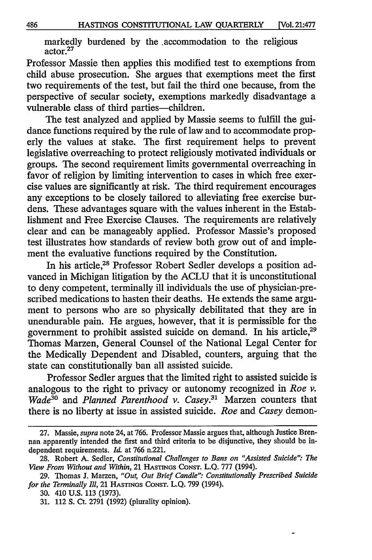markedly burdened by the .accommodation to the religious actor.<sup>27</sup>

Professor Massie then applies this modified test to exemptions from child abuse prosecution. She argues that exemptions meet the first two requirements of the test, but fail the third one because, from the perspective of secular society, exemptions markedly disadvantage a vulnerable class of third parties-children.

The test analyzed and applied by Massie seems to fulfill the guidance functions required by the rule of law and to accommodate properly the values at stake. The first requirement helps to prevent legislative overreaching to protect religiously motivated individuals or groups. The second requirement limits governmental overreaching in favor of religion by limiting intervention to cases in which free exercise values are significantly at risk. The third requirement encourages any exceptions to be closely tailored to alleviating free exercise burdens. These advantages square with the values inherent in the Establishment and Free Exercise Clauses. The requirements are relatively clear and can be manageably applied. Professor Massie's proposed test illustrates how standards of review both grow out of and implement the evaluative functions required by the Constitution.

In his article,28 Professor Robert Sedler develops a position advanced in Michigan litigation by the ACLU that it is unconstitutional to deny competent, terminally ill individuals the use of physician-prescribed medications to hasten their deaths. He extends the same argument to persons who are so physically debilitated that they are in unendurable pain. He argues, however, that it is permissible for the government to prohibit assisted suicide on demand. In his article,<sup>29</sup> Thomas Marzen, General Counsel of the National Legal Center for the Medically Dependent and Disabled, counters, arguing that the state can constitutionally ban all assisted suicide.

Professor Sedler argues that the limited right to assisted suicide is analogous to the right to privacy or autonomy recognized in *Roe v. Wadea"* and *Planned Parenthood v. Casey.3'* Marzen counters that there is no liberty at issue in assisted suicide. *Roe* and *Casey* demon-

<sup>27.</sup> Massie, *supra* note 24, at 766. Professor Massie argues that, although Justice Brennan apparently intended the first and third criteria to be disjunctive, they should be independent requirements. *Id.* at 766 n.221.

<sup>28.</sup> Robert A. Sedler, *Constitutional Challenges to Bans on "Assisted Suicide": The View From Without and Within,* 21 **HASTINGS** CONST. L.Q. 777 (1994).

<sup>29.</sup> Thomas **J.** Marzen, *"Out, Out Brief Candle". Constitutionally Prescribed Suicide for the Terminally Ill,* 21 HAsTmos CONST. L.Q. 799 (1994).

**<sup>30.</sup>** 410 U.S. **113** (1973).

**<sup>31.</sup>** 112 S. Ct. 2791 (1992) (plurality opinion).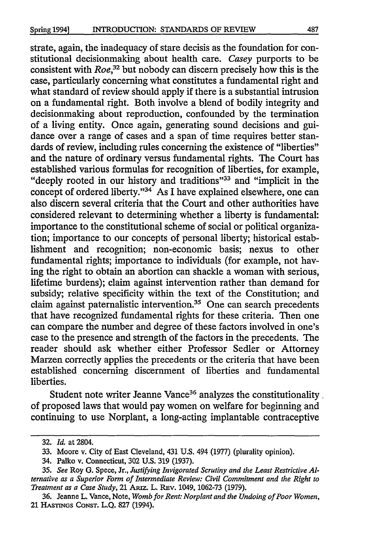strate, again, the inadequacy of stare decisis as the foundation for constitutional decisionmaking about health care. *Casey* purports to be consistent with *Roe,32* but nobody can discern precisely how this is the case, particularly concerning what constitutes a fundamental right and what standard of review should apply if there is a substantial intrusion on a fundamental right. Both involve a blend of bodily integrity and decisionmaking about reproduction, confounded by the termination of a living entity. Once again, generating sound decisions and guidance over a range of cases and a span of time requires better standards of review, including rules concerning the existence of "liberties" and the nature of ordinary versus fundamental rights. The Court has established various formulas for recognition of liberties, for example, "deeply rooted in our history and traditions"<sup>33</sup> and "implicit in the concept of ordered liberty."<sup>34</sup> As I have explained elsewhere, one can also discern several criteria that the Court and other authorities have considered relevant to determining whether a liberty is fundamental: importance to the constitutional scheme of social or political organization; importance to our concepts of personal liberty; historical establishment and recognition; non-economic basis; nexus to other fundamental rights; importance to individuals (for example, not having the right to obtain an abortion can shackle a woman with serious, lifetime burdens); claim against intervention rather than demand for subsidy; relative specificity within the text of the Constitution; and claim against paternalistic intervention.<sup>35</sup> One can search precedents that have recognized fundamental rights for these criteria. Then one can compare the number and degree of these factors involved in one's case to the presence and strength of the factors in the precedents. The reader should ask whether either Professor Sedler or Attorney Marzen correctly applies the precedents or the criteria that have been established concerning discernment of liberties and fundamental liberties.

Student note writer Jeanne Vance<sup>36</sup> analyzes the constitutionality. of proposed laws that would pay women on welfare for beginning and continuing to use Norplant, a long-acting implantable contraceptive

<sup>32.</sup> *Id.* at 2804.

<sup>33.</sup> Moore v. City of East Cleveland, 431 U.S. 494 (1977) (plurality opinion).

<sup>34.</sup> Palko v. Connecticut, 302 **U.S. 319** (1937).

<sup>35.</sup> *See* Roy G. Spece, Jr., *Justifying Invigorated Scrutiny and the Least Restrictive Alternative as a Superior Form of Intermediate Review: Civil Commitment and the Right to Treatment as a Case Study, 21 Araz. L. Rev. 1049, 1062-73 (1979).* 

<sup>36.</sup> Jeanne L. Vance, Note, *Womb for Rent: Norplant and the Undoing of Poor Women,* 21 **HASINGS CONST. L.Q.** 827 (1994).